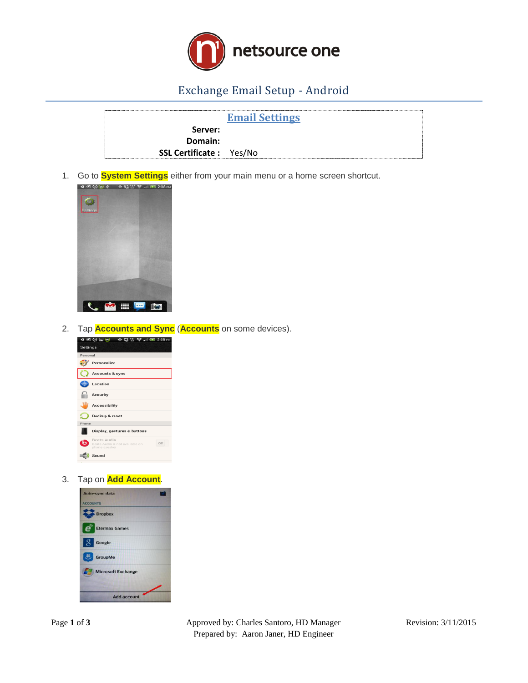

## Exchange Email Setup - Android

|                                | <b>Email Settings</b> |  |
|--------------------------------|-----------------------|--|
| Server:                        |                       |  |
| Domain:                        |                       |  |
| <b>SSL Certificate:</b> Yes/No |                       |  |

1. Go to **System Settings** either from your main menu or a home screen shortcut.



2. Tap **Accounts and Sync** (**Accounts** on some devices).



3. Tap on **Add Account**.

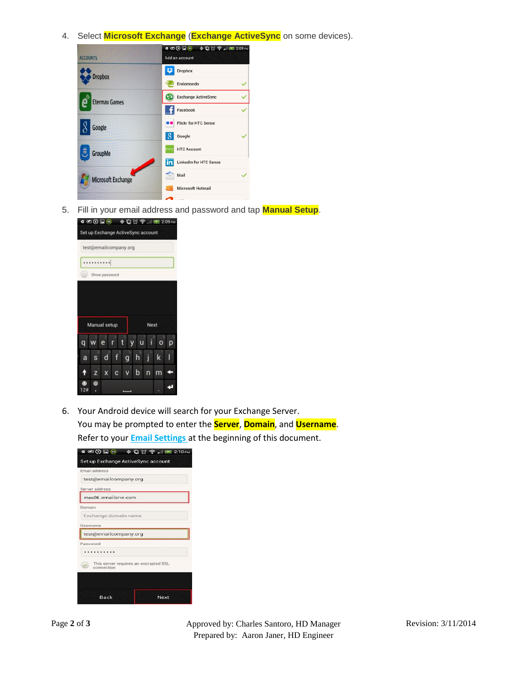4. Select **Microsoft Exchange** (**Exchange ActiveSync** on some devices).



5. Fill in your email address and password and tap **Manual Setup**.



6. Your Android device will search for your Exchange Server. You may be prompted to enter the **Server**, **Domain**, and **Username**. Refer to your **Email Settings** at the beginning of this document.